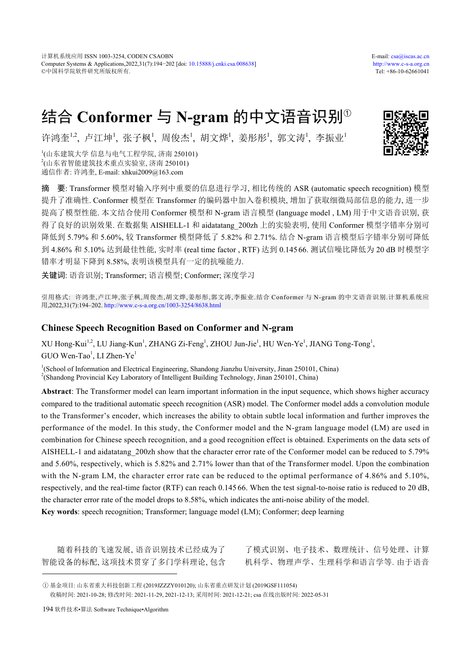计算机系统应用 ISSN 1003-3254, CODEN CSAOBN E-mail: [csa@iscas.ac.cn](mailto:cas@iscas.ac.cn) Computer Systems & Applications,2022,31(7):194−202 [doi: [10.15888/j.cnki.csa.008638\]](http://dx.doi.org/10.15888/j.cnki.csa.008638) <http://www.c-s-a.org.cn> ©中国科学院软件研究所版权所有. Tel: +86-10-62661041

# 结合 **Conformer** 与 **N-gram** 的中文语音识别<sup>①</sup>

许鸿奎<sup>1,2</sup>, 卢江坤', 张子枫', 周俊杰', 胡文烨', 姜彤彤', 郭文涛', 李振业'

1 (山东建筑大学 信息与电气工程学院, 济南 250101) 2 (山东省智能建筑技术重点实验室, 济南 250101) 通信作者: 许鸿奎, E-mail: xhkui2009@163.com

摘 要: Transformer 模型对输入序列中重要的信息进行学习, 相比传统的 ASR (automatic speech recognition) 模型 提升了准确性. Conformer 模型在 Transformer 的编码器中加入卷积模块, 增加了获取细微局部信息的能力, 进一步 提高了模型性能. 本文结合使用 Conformer 模型和 N-gram 语言模型 (language model , LM) 用于中文语音识别, 获 得了良好的识别效果. 在数据集 AISHELL-1 和 aidatatang 200zh 上的实验表明, 使用 Conformer 模型字错率分别可 降低到 5.79% 和 5.60%, 较 Transformer 模型降低了 5.82% 和 2.71%. 结合 N-gram 语言模型后字错率分别可降低 到 4.86% 和 5.10% 达到最佳性能, 实时率 (real time factor , RTF) 达到 0.145 66. 测试信噪比降低为 20 dB 时模型字 错率才明显下降到 8.58%, 表明该模型具有一定的抗噪能力.

关键词: 语音识别; Transformer; 语言模型; Conformer; 深度学习

引用格式: 许鸿奎,卢江坤,张子枫,周俊杰,胡文烨,姜彤彤,郭文涛,李振业.结合 Conformer 与 N-gram 的中文语音识别.计算机系统应 用,2022,31(7):194–202. <http://www.c-s-a.org.cn/1003-3254/8638.html>

# **Chinese Speech Recognition Based on Conformer and N-gram**

XU Hong-Kui<sup>1,2</sup>, LU Jiang-Kun<sup>1</sup>, ZHANG Zi-Feng<sup>1</sup>, ZHOU Jun-Jie<sup>1</sup>, HU Wen-Ye<sup>1</sup>, JIANG Tong-Tong<sup>1</sup>,  $G$ UO Wen-Tao<sup>1</sup>, LI Zhen-Ye<sup>1</sup>

<sup>1</sup>(School of Information and Electrical Engineering, Shandong Jianzhu University, Jinan 250101, China) <sup>2</sup>(Shandong Provincial Key Laboratory of Intelligent Building Technology, Jinan 250101, China)

**Abstract**: The Transformer model can learn important information in the input sequence, which shows higher accuracy compared to the traditional automatic speech recognition (ASR) model. The Conformer model adds a convolution module to the Transformer's encoder, which increases the ability to obtain subtle local information and further improves the performance of the model. In this study, the Conformer model and the N-gram language model (LM) are used in combination for Chinese speech recognition, and a good recognition effect is obtained. Experiments on the data sets of AISHELL-1 and aidatatang\_200zh show that the character error rate of the Conformer model can be reduced to 5.79% and 5.60%, respectively, which is 5.82% and 2.71% lower than that of the Transformer model. Upon the combination with the N-gram LM, the character error rate can be reduced to the optimal performance of 4.86% and 5.10%, respectively, and the real-time factor (RTF) can reach 0.145 66. When the test signal-to-noise ratio is reduced to 20 dB, the character error rate of the model drops to 8.58%, which indicates the anti-noise ability of the model.

**Key words**: speech recognition; Transformer; language model (LM); Conformer; deep learning

随着科技的飞速发展, 语音识别技术已经成为了 智能设备的标配, 这项技术贯穿了多门学科理论, 包含

了模式识别、电子技术、数理统计、信号处理、计算 机科学、物理声学、生理科学和语言学等. 由于语音



① 基金项目: 山东省重大科技创新工程 (2019JZZZY010120); 山东省重点研发计划 (2019GSF111054) 收稿时间: 2021-10-28; 修改时间: 2021-11-29, 2021-12-13; 采用时间: 2021-12-21; csa 在线出版时间: 2022-05-31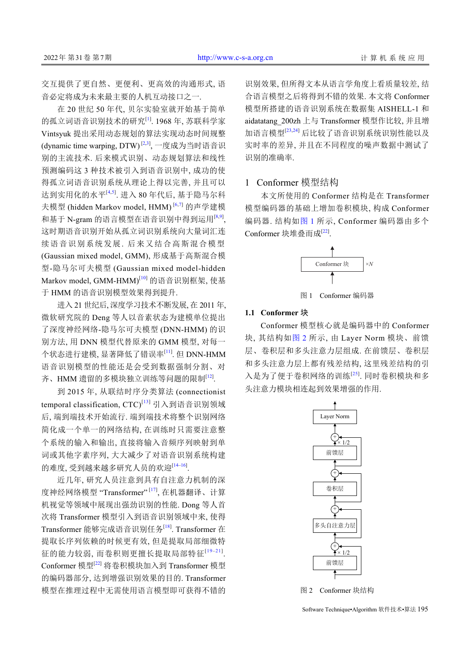交互提供了更自然、更便利、更高效的沟通形式, 语 音必定将成为未来最主要的人机互动接口之一.

在 20 世纪 50 年代, 贝尔实验室就开始基于简单 的孤立词语音识别技术的研究<sup>[[1](#page-7-0)]</sup>. 1968年, 苏联科学家 Vintsyuk 提出采用动态规划的算法实现动态时间规整 (dynamic time warping, DTW)<sup>[[2,](#page-7-1)[3](#page-7-2)]</sup>, 一度成为当时语音识 别的主流技术. 后来模式识别、动态规划算法和线性 预测编码这 3 种技术被引入到语音识别中, 成功的使 得孤立词语音识别系统从理论上得以完善, 并且可以 达到实用化的水平<sup>[\[4](#page-7-3)[,5](#page-7-4)]</sup>. 进入 80 年代后, 基于隐马尔科 夫模型 (hidden Markov model, HMM) [[6](#page-7-5)[,7](#page-7-6)] 的声学建模 和基于 N-gram 的语言模型在语音识别中得到运用[[8,](#page-7-7)[9\]](#page-7-8), 这时期语音识别开始从孤立词识别系统向大量词汇连 续语音识别系统发展. 后来又结合高斯混合模型 (Gaussian mixed model, GMM), 形成基于高斯混合模 型-隐马尔可夫模型 (Gaussian mixed model-hidden Markov model, GMM-HMM)<sup>[[10](#page-7-9)]</sup> 的语音识别框架, 使基 于 HMM 的语音识别模型效果得到提升.

进入 21 世纪后, 深度学习技术不断发展, 在 2011 年, 微软研究院的 Deng 等人以音素状态为建模单位提出 了深度神经网络-隐马尔可夫模型 (DNN-HMM) 的识 别方法, 用 DNN 模型代替原来的 GMM 模型, 对每一 个状态进行建模, 显著降低了错误率<sup>[[11\]](#page-7-10)</sup>. 但 DNN-HMM 语音识别模型的性能还是会受到数据强制分割、对 齐、HMM 遗留的多模块独立训练等问题的限制<sup>[[12](#page-7-11)]</sup>.

到 2015 年, 从联结时序分类算法 (connectionist temporal classification, CTC)[\[13](#page-7-12)] 引入到语音识别领域 后, 端到端技术开始流行. 端到端技术将整个识别网络 简化成一个单一的网络结构, 在训练时只需要注意整 个系统的输入和输出, 直接将输入音频序列映射到单 词或其他字素序列, 大大减少了对语音识别系统构建 的难度, 受到越来越多研究人员的欢迎[\[14](#page-7-13)-[16\]](#page-7-14).

近几年, 研究人员注意到具有自注意力机制的深 度神经网络模型 "Transformer"[\[17\]](#page-7-15), 在机器翻译、计算 机视觉等领域中展现出强劲识别的性能. Dong 等人首 次将 Transformer 模型引入到语音识别领域中来, 使得 Transformer 能够完成语音识别任务<sup>[[18\]](#page-7-16)</sup>. Transformer 在 提取长序列依赖的时候更有效, 但是提取局部细微特 征的能力较弱, 而卷积则更擅长提取局部特征[[19](#page-7-17)–[21](#page-7-18)] . Conformer 模型[\[22\]](#page-7-19) 将卷积模块加入到 Transformer 模型 的编码器部分, 达到增强识别效果的目的. Transformer 模型在推理过程中无需使用语言模型即可获得不错的 识别效果, 但所得文本从语言学角度上看质量较差, 结 合语言模型之后将得到不错的效果. 本文将 Conformer 模型所搭建的语音识别系统在数据集 AISHELL-1 和 aidatatang\_200zh 上与 Transformer 模型作比较, 并且增 加语言模型[\[23,](#page-8-0)[24\]](#page-8-1) 后比较了语音识别系统识别性能以及 实时率的差异, 并且在不同程度的噪声数据中测试了 识别的准确率.

# 1 Conformer 模型结构

本文所使用的 Conformer 结构是在 Transformer 模型编码器的基础上增加卷积模块, 构成 Conformer 编码器. 结构如[图](#page-1-0) [1](#page-1-0) 所示, Conformer 编码器由多个 Conformer 块堆叠而成[\[22](#page-7-19)].



图 1 Conformer 编码器

#### <span id="page-1-0"></span>**1.1 Conformer** 块

Conformer 模型核心就是编码器中的 Conformer 块, 其结构如[图](#page-1-1) [2](#page-1-1) 所示, 由 Layer Norm 模块、前馈 层、卷积层和多头注意力层组成. 在前馈层、卷积层 和多头注意力层上都有残差结构, 这里残差结构的引 入是为了便于卷积网络的训练[[25](#page-8-2)]. 同时卷积模块和多 头注意力模块相连起到效果增强的作用.



<span id="page-1-1"></span>图 2 Conformer 块结构

Software Technique•Algorithm 软件技术•算法 195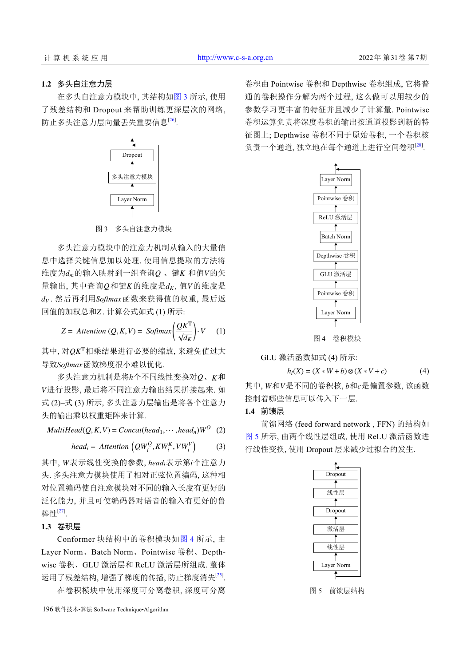## **1.2** 多头自注意力层

在多头自注意力模块中, 其结构[如图](#page-2-0) [3](#page-2-0) 所示, 使用 了残差结构和 Dropout 来帮助训练更深层次的网络, 防止多头注意力层向量丢失重要信息<sup>[\[26](#page-8-3)]</sup>.



图 3 多头自注意力模块

<span id="page-2-0"></span> $\frac{d\hat{x}}{dt}$ 的输入映射到一组查询 $Q$  、键 $K$  和值 $V$ 的矢 量输出, 其中查询 $Q$ 和键 $K$ 的维度是 $d_K$ , 值 $V$ 的维度是  $d_V$  . 然后再利用 Softmax 函数来获得值的权重, 最后返 回值的加权总和Z. 计算公式如式 (1) 所示: 多头注意力模块中的注意力机制从输入的大量信 息中选择关键信息加以处理. 使用信息提取的方法将

$$
Z = \text{Attention}(Q, K, V) = \text{Softmax}\left(\frac{QK^{T}}{\sqrt{d_{K}}}\right) \cdot V \quad (1)
$$

其中, 对 QKT相乘结果进行必要的缩放, 来避免值过大 导致Softmax函数梯度很小难以优化.

 $\mathscr{F}$ 头注意力机制是将 $h$ 个不同线性变换对 $\varrho$ 、 $K$ 和 *V* 进行投影, 最后将不同注意力输出结果拼接起来. 如 式 (2)–式 (3) 所示, 多头注意力层输出是将各个注意力 头的输出乘以权重矩阵来计算.

 $MultiHead(Q, K, V) = Concat(head_1, \dots, head_n)W^O$  (2)

$$
head_i = \text{Attention}\left(QW_i^Q, KW_i^K, VW_i^V\right) \tag{3}
$$

其中, W表示线性变换的参数, head<sub>i</sub>表示第i个注意力 头. 多头注意力模块使用了相对正弦位置编码, 这种相 对位置编码使自注意模块对不同的输入长度有更好的 泛化能力, 并且可使编码器对语音的输入有更好的鲁 棒性[\[27](#page-8-4)] .

## **1.3** 卷积层

Conformer 块结构中的卷积模块如[图](#page-2-1) [4](#page-2-1) 所示, 由 Layer Norm、Batch Norm、Pointwise 卷积、Depthwise 卷积、GLU 激活层和 ReLU 激活层所组成. 整体 运用了残差结构, 增强了梯度的传播, 防止梯度消失<sup>[\[25](#page-8-2)]</sup>.

在卷积模块中使用深度可分离卷积, 深度可分离

卷积由 Pointwise 卷积和 Depthwise 卷积组成, 它将普 通的卷积操作分解为两个过程, 这么做可以用较少的 参数学习更丰富的特征并且减少了计算量. Pointwise 卷积运算负责将深度卷积的输出按通道投影到新的特 征图上; Depthwise 卷积不同于原始卷积, 一个卷积核 负责一个通道, 独立地在每个通道上进行空间卷积[[28\]](#page-8-5) .



图 4 卷积模块

<span id="page-2-1"></span>GLU 激活函数如式 (4) 所示:

$$
h_l(X) = (X * W + b) \otimes (X * V + c)
$$
 (4)

其中, W和V是不同的卷积核, b和c是偏置参数, 该函数 控制着哪些信息可以传入下一层.

# **1.4** 前馈层

前馈网络 (feed forward network , FFN) 的结构如 [图](#page-2-2) [5](#page-2-2) 所示, 由两个线性层组成, 使用 ReLU 激活函数进 行线性变换, 使用 Dropout 层来减少过拟合的发生.



<span id="page-2-2"></span>图 5 前馈层结构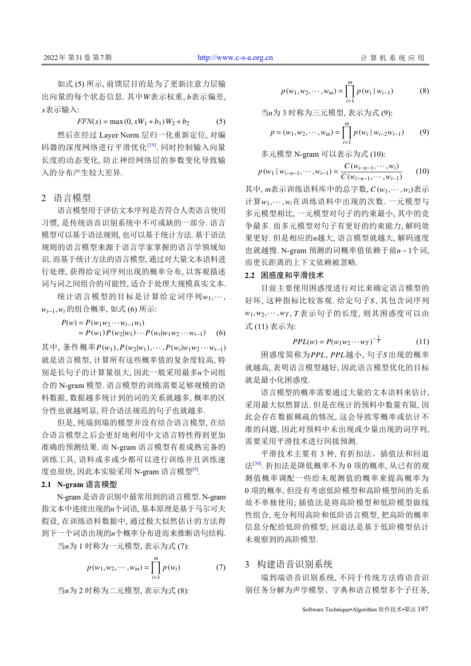出向量的每个状态信息. 其中W表示权重, b表示偏差, *x* 表示输入: 如式 (5) 所示, 前馈层目的是为了更新注意力层输

$$
FFN(x) = \max(0, xW_1 + b_1)W_2 + b_2
$$
 (5)

然后在经过 Layer Norm 层归一化重新定位, 对编 码器的深度网络进行平滑优化<sup>[\[29](#page-8-6)]</sup>. 同时控制输入向量 长度的动态变化, 防止神经网络层的参数变化导致输 入的分布产生较大差异.

## 2 语言模型

语言模型用于评估文本序列是否符合人类语言使用 习惯, 是传统语音识别系统中不可或缺的一部分. 语言 模型可以基于语法规则, 也可以基于统计方法. 基于语法 规则的语言模型来源于语言学家掌握的语言学领域知 识. 而基于统计方法的语言模型, 通过对大量文本语料进 行处理, 获得给定词序列出现的概率分布, 以客观描述 词与词之间组合的可能性, 适合于处理大规模真实文本.

统计语言模型的目标是计算给定词序列 $w_1, \cdots,$ *wt*−1,*w<sup>t</sup>* 的组合概率, 如式 (6) 所示:

$$
P(w) = P(w_1 w_2 \cdots w_{t-1} w_t)
$$
  
=  $P(w_1) P(w_2 | w_1) \cdots P(w_t | w_1 w_2 \cdots w_{t-1})$  (6)

其中, 条件概率 $P(w_1)$ , $P(w_2|w_1)$ ,…, $P(w_t|w_1w_2\cdots w_{t-1})$ 别是长句子的计算量很大, 因此一般采用最多n个词组 就是语言模型, 计算所有这些概率值的复杂度较高, 特 合的 N-gram 模型. 语言模型的训练需要足够规模的语 料数据, 数据越多统计到的词的关系就越多, 概率的区 分性也就越明显, 符合语法规范的句子也就越多.

但是, 纯端到端的模型并没有结合语言模型, 在结 合语言模型之后会更好地利用中文语言特性得到更加 准确的预测结果. 而 N-gram 语言模型有着成熟完备的 训练工具, 语料或多或少都可以进行训练并且训练速 度也很快, 因此本实验采用 N-gram 语言模型<sup>[\[9](#page-7-8)]</sup>.

# **2.1 N-gram** 语言模型

指文本中连续出现的n个词语, 基本原理是基于马尔可夫 到下一个词语出现的*n*个概率分布进而来推断语句结构. N-gram 是语音识别中最常用到的语言模型. N-gram 假设, 在训练语料数据中, 通过极大似然估计的方法得

当*n*为 1 时称为一元模型, 表示为式 (7):

$$
p(w_1, w_2, \cdots, w_m) = \prod_{i=1}^{m} p(w_i)
$$
 (7)

$$
\exists n \forall 2
$$
时称为二元模式型,表示为式 (8):

$$
p(w_1, w_2, \cdots, w_m) = \prod_{i=1}^m p(w_i \mid w_{i-1})
$$
 (8)

$$
\exists n \forall j \; 3 \; \text{时称为三元模式, 表示为式 (9):}
$$

$$
p = (w_1, w_2, \cdots, w_m) = \prod_{i=1}^{m} p(w_i \mid w_{i-2}w_{i-1})
$$
 (9)

多元模型 N-gram 可以表示为式 (10):

$$
p(w_1 | w_{i-n-1}, \cdots, w_{i-1}) = \frac{C(w_{i-n-1}, \cdots, w_i)}{C(w_{i-n-1}, \cdots, w_{i-1})}
$$
(10)

其中,  $m$ 表示训练语料库中的总字数,  $C(w_1, \cdots, w_i)$ 表示 计算 $w_1, \cdots, w_i$ 在训练语料中出现的次数. 一元模型与 果更好. 但是相应的n越大, 语言模型就越大, 解码速度 也就越慢. N-gram 预测的词概率值依赖于前*n*−1个词, 多元模型相比, 一元模型对句子的约束最小, 其中的竞 争最多. 而多元模型对句子有更好的约束能力, 解码效 而更长距离的上下文依赖被忽略.

## **2.2** 困惑度和平滑技术

好坏, 这种指标比较客观. 给定句子S, 其包含词序列 *w*1,*w*2,··· ,*w<sup>T</sup> T* , 表示句子的长度, 则其困惑度可以由 目前主要使用困惑度进行对比来确定语言模型的 式 (11) 表示为:

$$
PPL(w) = P(w_1 w_2 \cdots w_T)^{-\frac{1}{T}}
$$
 (11)

困惑度简称为 *PPL*, *PPL* 越小, 句子 *S* 出现的概率 就越高, 表明语言模型越好, 因此语言模型优化的目标 就是最小化困惑度.

语言模型的概率需要通过大量的文本语料来估计, 采用最大似然算法. 但是在统计的预料中数量有限, 因 此会存在数据稀疏的情况, 这会导致零概率或估计不 准的问题, 因此对预料中未出现或少量出现的词序列, 需要采用平滑技术进行间接预测.

平滑技术主要有 3 种, 有折扣法、插值法和回退 法[[30](#page-8-7)] . 折扣法是降低概率不为 0 项的概率, 从已有的观 测值概率调配一些给未观测值的概率来提高概率为 0 项的概率, 但没有考虑低阶模型和高阶模型间的关系 故不单独使用; 插值法是将高阶模型和低阶模型做线 性组合, 充分利用高阶和低阶语言模型, 把高阶的概率 信息分配给低阶的模型; 回退法是基于低阶模型估计 未观察到的高阶模型.

# 3 构建语音识别系统

端到端语音识别系统, 不同于传统方法将语音识 别任务分解为声学模型、字典和语言模型多个子任务,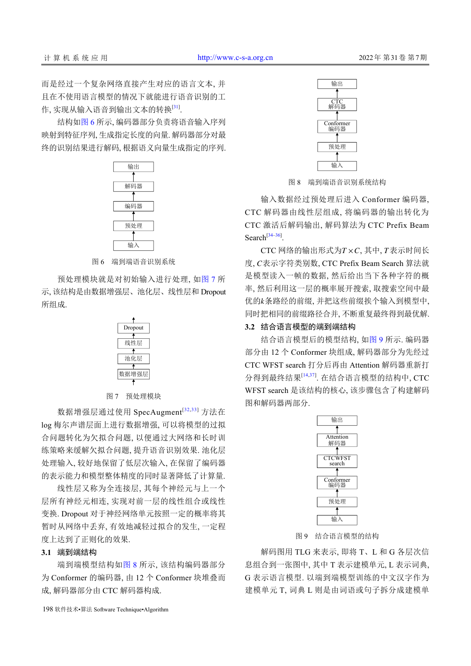而是经过一个复杂网络直接产生对应的语言文本, 并 且在不使用语言模型的情况下就能进行语音识别的工 作, 实现从输入语音到输出文本的转换<sup>[\[31](#page-8-8)]</sup>.

结构[如图](#page-4-0) [6](#page-4-0) 所示, 编码器部分负责将语音输入序列 映射到特征序列, 生成指定长度的向量. 解码器部分对最 终的识别结果进行解码, 根据语义向量生成指定的序列.



图 6 端到端语音识别系统

<span id="page-4-0"></span>预处理模块就是对初始输入进行处理, [如图](#page-4-1) [7](#page-4-1) 所 示, 该结构是由数据增强层、池化层、线性层和 Dropout 所组成.

| Dropout |  |  |
|---------|--|--|
|         |  |  |
| 线性层     |  |  |
|         |  |  |
| 池化层     |  |  |
|         |  |  |
| 数据增强层   |  |  |
|         |  |  |

#### 图 7 预处理模块

<span id="page-4-1"></span>数据增强层通过使用 SpecAugment<sup>[[32](#page-8-9),[33](#page-8-10)]</sup> 方法在 log 梅尔声谱层面上进行数据增强, 可以将模型的过拟 合问题转化为欠拟合问题, 以便通过大网络和长时训 练策略来缓解欠拟合问题, 提升语音识别效果. 池化层 处理输入, 较好地保留了低层次输入, 在保留了编码器 的表示能力和模型整体精度的同时显著降低了计算量.

线性层又称为全连接层, 其每个神经元与上一个 层所有神经元相连, 实现对前一层的线性组合或线性 变换. Dropout 对于神经网络单元按照一定的概率将其 暂时从网络中丢弃, 有效地减轻过拟合的发生, 一定程 度上达到了正则化的效果.

#### **3.1** 端到端结构

端到端模型结构如[图](#page-4-2) [8](#page-4-2) 所示, 该结构编码器部分 为 Conformer 的编码器, 由 12 个 Conformer 块堆叠而 成, 解码器部分由 CTC 解码器构成.



图 8 端到端语音识别系统结构

<span id="page-4-2"></span>输入数据经过预处理后进入 Conformer 编码器, CTC 解码器由线性层组成, 将编码器的输出转化为 CTC 激活后解码输出, 解码算法为 CTC Prefix Beam Search $^{[34-36]}$  $^{[34-36]}$  $^{[34-36]}$ .

 $CTC$  网络的输出形式为 $T \times C$ , 其中,  $T$ 表示时间长 *C* 度, 表示字符类别数, CTC Prefix Beam Search 算法就 *k* 优的 条路经的前缀, 并把这些前缀挨个输入到模型中, 是模型读入一帧的数据, 然后给出当下各种字符的概 率, 然后利用这一层的概率展开搜索, 取搜索空间中最 同时把相同的前缀路径合并, 不断重复最终得到最优解.

# **3.2** 结合语言模型的端到端结构

结合语言模型后的模型结构, 如[图](#page-4-3) [9](#page-4-3) 所示. 编码器 部分由 12 个 Conformer 块组成, 解码器部分为先经过 CTC WFST search 打分后再由 Attention 解码器重新打 分得到最终结果[\[14](#page-7-13)[,37](#page-8-13)] . 在结合语言模型的结构中, CTC WFST search 是该结构的核心, 该步骤包含了构建解码 图和解码器两部分.



图 9 结合语言模型的结构

<span id="page-4-3"></span>解码图用 TLG 来表示, 即将 T、L 和 G 各层次信 息组合到一张图中, 其中 T 表示建模单元, L 表示词典, G 表示语言模型. 以端到端模型训练的中文汉字作为 建模单元 T, 词典 L 则是由词语或句子拆分成建模单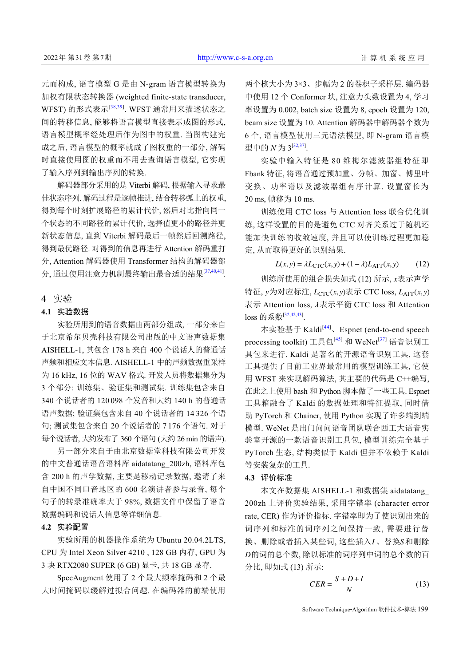元而构成, 语言模型 G 是由 N-gram 语言模型转换为 加权有限状态转换器 (weighted finite-state transducer, WFST) 的形式表示<sup>[[38](#page-8-14)[,39](#page-8-15)]</sup>. WFST 通常用来描述状态之 间的转移信息, 能够将语言模型直接表示成图的形式, 语言模型概率经处理后作为图中的权重. 当图构建完 成之后, 语言模型的概率就成了图权重的一部分, 解码 时直接使用图的权重而不用去查询语言模型, 它实现 了输入序列到输出序列的转换.

解码器部分采用的是 Viterbi 解码, 根据输入寻求最 佳状态序列. 解码过程是逐帧推进, 结合转移弧上的权重, 得到每个时刻扩展路径的累计代价, 然后对比指向同一 个状态的不同路径的累计代价, 选择值更小的路径并更 新状态信息, 直到 Viterbi 解码最后一帧然后回溯路径, 得到最优路径. 对得到的信息再进行 Attention 解码重打 分, Attention 解码器使用 Transformer 结构的解码器部 分, 通过使用注意力机制最终输出最合适的结果[\[37,](#page-8-13)[40](#page-8-16),[41\]](#page-8-17).

# 4 实验

## **4.1** 实验数据

实验所用到的语音数据由两部分组成, 一部分来自 于北京希尔贝壳科技有限公司出版的中文语声数据集 AISHELL-1, 其包含 178 h 来自 400 个说话人的普通话 声频和相应文本信息. AISHELL-1 中的声频数据重采样 为 16 kHz, 16 位的 WAV 格式. 开发人员将数据集分为 3 个部分: 训练集、验证集和测试集. 训练集包含来自 340 个说话者的 120 098 个发音和大约 140 h 的普通话 语声数据; 验证集包含来自 40 个说话者的 14 326 个语 句; 测试集包含来自 20 个说话者的 7 176 个语句. 对于 每个说话者, 大约发布了 360 个语句 (大约 26 min 的语声).

另一部分来自于由北京数据堂科技有限公司开发 的中文普通话语音语料库 aidatatang\_200zh, 语料库包 含 200 h 的声学数据, 主要是移动记录数据, 邀请了来 自中国不同口音地区的 600 名演讲者参与录音, 每个 句子的转录准确率大于 98%, 数据文件中保留了语音 数据编码和说话人信息等详细信息.

## **4.2** 实验配置

实验所用的机器操作系统为 Ubuntu 20.04.2LTS, CPU 为 Intel Xeon Silver 4210 , 128 GB 内存, GPU 为 3 块 RTX2080 SUPER (6 GB) 显卡, 共 18 GB 显存.

SpecAugment 使用了 2 个最大频率掩码和 2 个最 大时间掩码以缓解过拟合问题. 在编码器的前端使用

两个核大小为 3×3、步幅为 2 的卷积子采样层. 编码器 中使用 12 个 Conformer 块, 注意力头数设置为 4, 学习 率设置为 0.002, batch size 设置为 8, epoch 设置为 120, beam size 设置为 10. Attention 解码器中解码器个数为 6 个, 语言模型使用三元语法模型, 即 N-gram 语言模 型中的 *N* 为 3<sup>[[32](#page-8-9),[37\]](#page-8-13)</sup>.

实验中输入特征是 80 维梅尔滤波器组特征即 Fbank 特征, 将语音通过预加重、分帧、加窗、傅里叶 变换、功率谱以及滤波器组有序计算. 设置窗长为 20 ms, 帧移为 10 ms.

训练使用 CTC loss 与 Attention loss 联合优化训 练, 这样设置的目的是避免 CTC 对齐关系过于随机还 能加快训练的收敛速度, 并且可以使训练过程更加稳 定, 从而取得更好的识别结果.

 $L(x, y) = \lambda L_{\text{CTC}}(x, y) + (1 - \lambda)L_{\text{ATT}}(x, y)$  (12)

训练所使用的组合损失如式 (12) 所示, x表示声学 特征, *y*为对应标注, *L<sub>CTC</sub>(x,y)*表示 CTC loss, *L<sub>ATT</sub>(x,y)* 表示 Attention loss,  $\lambda$ 表示平衡 CTC loss 和 Attention loss 的系数<sup>[[32](#page-8-9),[42](#page-8-18)[,43](#page-8-19)]</sup>.

本实验基于 Kaldi<sup>[[44](#page-8-20)]</sup>、Espnet (end-to-end speech processing toolkit) 工具包[\[45\]](#page-8-21) 和 WeNet<sup>[\[37\]](#page-8-13)</sup> 语音识别工 具包来进行. Kaldi 是著名的开源语音识别工具, 这套 工具提供了目前工业界最常用的模型训练工具, 它使 用 WFST 来实现解码算法, 其主要的代码是 C++编写, 在此之上使用 bash 和 Python 脚本做了一些工具. Espnet 工具箱融合了 Kaldi 的数据处理和特征提取, 同时借 助 PyTorch 和 Chainer, 使用 Python 实现了许多端到端 模型. WeNet 是出门问问语音团队联合西工大语音实 验室开源的一款语音识别工具包, 模型训练完全基于 PyTorch 生态, 结构类似于 Kaldi 但并不依赖于 Kaldi 等安装复杂的工具.

#### **4.3** 评价标准

换、删除或者插入某些词, 这些插入I、替换S和删除 *D* 的词的总个数, 除以标准的词序列中词的总个数的百 本文在数据集 AISHELL-1 和数据集 aidatatang\_ 200zh 上评价实验结果, 采用字错率 (character error rate, CER) 作为评价指标. 字错率即为了使识别出来的 词序列和标准的词序列之间保持一致, 需要进行替 分比, 即如式 (13) 所示:

$$
CER = \frac{S + D + I}{N} \tag{13}
$$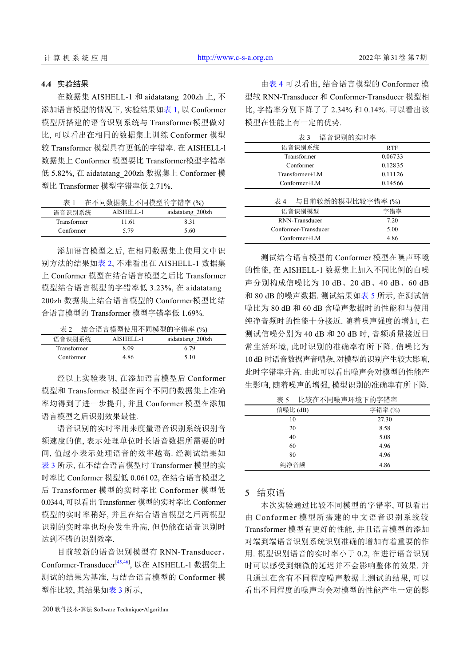#### **4.4** 实验结果

在数据集 AISHELL-1 和 aidatatang\_200zh 上, 不 添加语言模型的情况下, 实验结果如[表](#page-6-0) [1](#page-6-0), 以 Conformer 模型所搭建的语音识别系统与 Transformer模型做对 比, 可以看出在相同的数据集上训练 Conformer 模型 较 Transformer 模型具有更低的字错率. 在 AISHELL-l 数据集上 Conformer 模型要比 Transformer模型字错率 低 5.82%, 在 aidatatang\_200zh 数据集上 Conformer 模 型比 Transformer 模型字错率低 2.71%.

<span id="page-6-0"></span>

| 在不同数据集上不同模型的字错率(%)<br>表 1 |           |                  |  |
|---------------------------|-----------|------------------|--|
| 语音识别系统                    | AISHELL-1 | aidatatang 200zh |  |
| Transformer               | 11.61     | 831              |  |
| Conformer                 | 5.79      | 5.60             |  |

添加语言模型之后, 在相同数据集上使用文中识 别方法的结果如[表](#page-6-1) [2](#page-6-1), 不难看出在 AISHELL-1 数据集 上 Conformer 模型在结合语言模型之后比 Transformer 模型结合语言模型的字错率低 3.23%, 在 aidatatang 200zh 数据集上结合语言模型的 Conformer模型比结 合语言模型的 Transformer 模型字错率低 1.69%.

<span id="page-6-1"></span>

| 表 2         |           | 结合语言模型使用不同模型的字错率 (%) |
|-------------|-----------|----------------------|
| 语音识别系统      | AISHELL-1 | aidatatang 200zh     |
| Transformer | 8.09      | 6.79                 |
| Conformer   | 4.86      | 5.10                 |

经以上实验表明, 在添加语言模型后 Conformer 模型和 Transformer 模型在两个不同的数据集上准确 率均得到了进一步提升, 并且 Conformer 模型在添加 语言模型之后识别效果最佳.

语音识别的实时率用来度量语音识别系统识别音 频速度的值, 表示处理单位时长语音数据所需要的时 间, 值越小表示处理语音的效率越高. 经测试结果如 [表](#page-6-2) [3](#page-6-2) 所示, 在不结合语言模型时 Transformer 模型的实 时率比 Conformer 模型低 0.061 02, 在结合语言模型之 后 Transformer 模型的实时率比 Conformer 模型低 0.0344, 可以看出 Transformer 模型的实时率比 Conformer 模型的实时率稍好, 并且在结合语言模型之后两模型 识别的实时率也均会发生升高, 但仍能在语音识别时 达到不错的识别效率.

目前较新的语音识别模型有 RNN-Transducer、 Conformer-Transducer<sup>[[45](#page-8-21),[46](#page-8-22)]</sup>, 以在 AISHELL-1 数据集上 测试的结果为基准, 与结合语言模型的 Conformer 模 型作比较, 其结果[如表](#page-6-2) [3](#page-6-2) 所示,

由[表](#page-6-3) [4](#page-6-3) 可以看出, 结合语言模型的 Conformer 模 型较 RNN-Transducer 和 Conformer-Transducer 模型相 比, 字错率分别下降了了 2.34% 和 0.14%. 可以看出该 模型在性能上有一定的优势.

<span id="page-6-3"></span><span id="page-6-2"></span>

| 衣)<br>后日 以加 的 天 吗 半   |            |  |
|-----------------------|------------|--|
| 语音识别系统                | <b>RTF</b> |  |
| Transformer           | 0.06733    |  |
| Conformer             | 0.12835    |  |
| Transformer+LM        | 0.11126    |  |
| Conformer+LM          | 0.14566    |  |
| 表 4 与目前较新的模型比较字错率 (%) |            |  |
| 语音识别模型                | 字错率        |  |
| RNN-Transducer        | 7.20       |  |
| Conformer-Transducer  | 5.00       |  |
| $Conformer+LM$        | 4.86       |  |

测试结合语言模型的 Conformer 模型在噪声环境 的性能, 在 AISHELL-1 数据集上加入不同比例的白噪 声分别构成信噪比为 10 dB、20 dB、40 dB、60 dB 和 80 dB 的噪声数据. 测试结果[如表](#page-6-4) [5](#page-6-4) 所示, 在测试信 噪比为 80 dB 和 60 dB 含噪声数据时的性能和与使用 纯净音频时的性能十分接近. 随着噪声强度的增加, 在 测试信噪分别为 40 dB 和 20 dB 时, 音频质量接近日 常生活环境, 此时识别的准确率有所下降. 信噪比为 10 dB 时语音数据声音嘈杂, 对模型的识别产生较大影响, 此时字错率升高. 由此可以看出噪声会对模型的性能产 生影响, 随着噪声的增强, 模型识别的准确率有所下降.

<span id="page-6-4"></span>

| 表 5      | 比较在不同噪声环境下的字错率 |
|----------|----------------|
| 信噪比 (dB) | 字错率(%)         |
| 10       | 27.30          |
| 20       | 8.58           |
| 40       | 5.08           |
| 60       | 4.96           |
| 80       | 4.96           |
| 纯净音频     | 4.86           |

# 5 结束语

本次实验通过比较不同模型的字错率, 可以看出 由 Conformer 模型所搭建的中文语音识别系统较 Transformer 模型有更好的性能, 并且语言模型的添加 对端到端语音识别系统识别准确的增加有着重要的作 用. 模型识别语音的实时率小于 0.2, 在进行语音识别 时可以感受到细微的延迟并不会影响整体的效果. 并 且通过在含有不同程度噪声数据上测试的结果, 可以 看出不同程度的噪声均会对模型的性能产生一定的影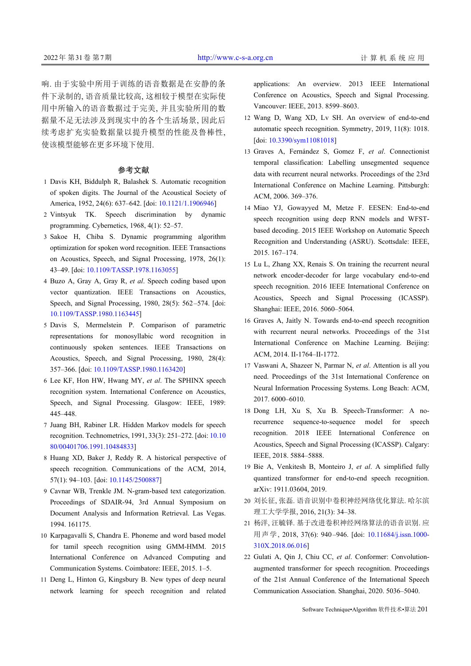响. 由于实验中所用于训练的语音数据是在安静的条 件下录制的, 语音质量比较高, 这相较于模型在实际使 用中所输入的语音数据过于完美, 并且实验所用的数 据量不足无法涉及到现实中的各个生活场景, 因此后 续考虑扩充实验数据量以提升模型的性能及鲁棒性, 使该模型能够在更多环境下使用.

# 参考文献

- 1 Davis KH, Biddulph R, Balashek S. Automatic recognition of spoken digits. The Journal of the Acoustical Society of America, 1952, 24(6): 637–642. [doi: [10.1121/1.1906946\]](http://dx.doi.org/10.1121/1.1906946)
- <span id="page-7-1"></span><span id="page-7-0"></span>2 Vintsyuk TK. Speech discrimination by dynamic programming. Cybernetics, 1968, 4(1): 52–57.
- 3 Sakoe H, Chiba S. Dynamic programming algorithm optimization for spoken word recognition. IEEE Transactions on Acoustics, Speech, and Signal Processing, 1978, 26(1): 43–49. [doi: [10.1109/TASSP.1978.1163055](http://dx.doi.org/10.1109/TASSP.1978.1163055)]
- <span id="page-7-3"></span><span id="page-7-2"></span>4 Buzo A, Gray A, Gray R, et al. Speech coding based upon vector quantization. IEEE Transactions on Acoustics, Speech, and Signal Processing, 1980, 28(5): 562 –574. [doi: [10.1109/TASSP.1980.1163445](http://dx.doi.org/10.1109/TASSP.1980.1163445)]
- 5 Davis S, Mermelstein P. Comparison of parametric representations for monosyllabic word recognition in continuously spoken sentences. IEEE Transactions on Acoustics, Speech, and Signal Processing, 1980, 28(4): 357–366. [doi: [10.1109/TASSP.1980.1163420](http://dx.doi.org/10.1109/TASSP.1980.1163420)]
- <span id="page-7-4"></span>Lee KF, Hon HW, Hwang MY, *et al*. The SPHINX speech 6 recognition system. International Conference on Acoustics, Speech, and Signal Processing. Glasgow: IEEE, 1989: 445–448.
- <span id="page-7-6"></span><span id="page-7-5"></span>7 Juang BH, Rabiner LR. Hidden Markov models for speech recognition. Technometrics, 1991, 33(3): 251–272. [doi: [10.10](http://dx.doi.org/10.1080/00401706.1991.10484833) [80/00401706.1991.10484833](http://dx.doi.org/10.1080/00401706.1991.10484833)]
- Huang XD, Baker J, Reddy R. A historical perspective of 8 speech recognition. Communications of the ACM, 2014, 57(1): 94–103. [doi: [10.1145/2500887\]](http://dx.doi.org/10.1145/2500887)
- <span id="page-7-7"></span>Cavnar WB, Trenkle JM. N-gram-based text categorization. 9 Proceedings of SDAIR-94, 3rd Annual Symposium on Document Analysis and Information Retrieval. Las Vegas. 1994. 161175.
- <span id="page-7-8"></span>10 Karpagavalli S, Chandra E. Phoneme and word based model for tamil speech recognition using GMM-HMM. 2015 International Conference on Advanced Computing and Communication Systems. Coimbatore: IEEE, 2015. 1–5.
- <span id="page-7-9"></span>11 Deng L, Hinton G, Kingsbury B. New types of deep neural network learning for speech recognition and related

applications: An overview. 2013 IEEE International Conference on Acoustics, Speech and Signal Processing. Vancouver: IEEE, 2013. 8599–8603.

- <span id="page-7-11"></span><span id="page-7-10"></span>12 Wang D, Wang XD, Lv SH. An overview of end-to-end automatic speech recognition. Symmetry, 2019, 11(8): 1018. [doi: [10.3390/sym11081018\]](http://dx.doi.org/10.3390/sym11081018)
- 13 Graves A, Fernández S, Gomez F, et al. Connectionist temporal classification: Labelling unsegmented sequence data with recurrent neural networks. Proceedings of the 23rd International Conference on Machine Learning. Pittsburgh: ACM, 2006. 369–376.
- <span id="page-7-12"></span>14 Miao YJ, Gowayyed M, Metze F. EESEN: End-to-end speech recognition using deep RNN models and WFSTbased decoding. 2015 IEEE Workshop on Automatic Speech Recognition and Understanding (ASRU). Scottsdale: IEEE, 2015. 167–174.
- <span id="page-7-13"></span>15 Lu L, Zhang XX, Renais S. On training the recurrent neural network encoder-decoder for large vocabulary end-to-end speech recognition. 2016 IEEE International Conference on Acoustics, Speech and Signal Processing (ICASSP). Shanghai: IEEE, 2016. 5060–5064.
- 16 Graves A, Jaitly N. Towards end-to-end speech recognition with recurrent neural networks. Proceedings of the 31st International Conference on Machine Learning. Beijing: ACM, 2014. II-1764–II-1772.
- <span id="page-7-14"></span>17 Vaswani A, Shazeer N, Parmar N, et al. Attention is all you need. Proceedings of the 31st International Conference on Neural Information Processing Systems. Long Beach: ACM, 2017. 6000–6010.
- <span id="page-7-15"></span>18 Dong LH, Xu S, Xu B. Speech-Transformer: A norecurrence sequence-to-sequence model for speech recognition. 2018 IEEE International Conference on Acoustics, Speech and Signal Processing (ICASSP). Calgary: IEEE, 2018. 5884–5888.
- <span id="page-7-16"></span>19 Bie A, Venkitesh B, Monteiro J, et al. A simplified fully quantized transformer for end-to-end speech recognition. arXiv: 1911.03604, 2019.
- <span id="page-7-17"></span>刘长征, 张磊. 语音识别中卷积神经网络优化算法. 哈尔滨 20 理工大学学报, 2016, 21(3): 34–38.
- <span id="page-7-18"></span>杨洋, 汪毓铎. 基于改进卷积神经网[络算法的语音识别](http://dx.doi.org/10.11684/j.issn.1000-310X.2018.06.016). 应 21 用声学[, 2018, 37](http://dx.doi.org/10.11684/j.issn.1000-310X.2018.06.016)(6): 940 –946. [doi: [10.11684/j.issn.1000-](http://dx.doi.org/10.11684/j.issn.1000-310X.2018.06.016) [310X.2018.06.016\]](http://dx.doi.org/10.11684/j.issn.1000-310X.2018.06.016)
- <span id="page-7-19"></span>22 Gulati A, Qin J, Chiu CC, et al. Conformer: Convolutionaugmented transformer for speech recognition. Proceedings of the 21st Annual Conference of the International Speech Communication Association. Shanghai, 2020. 5036–5040.